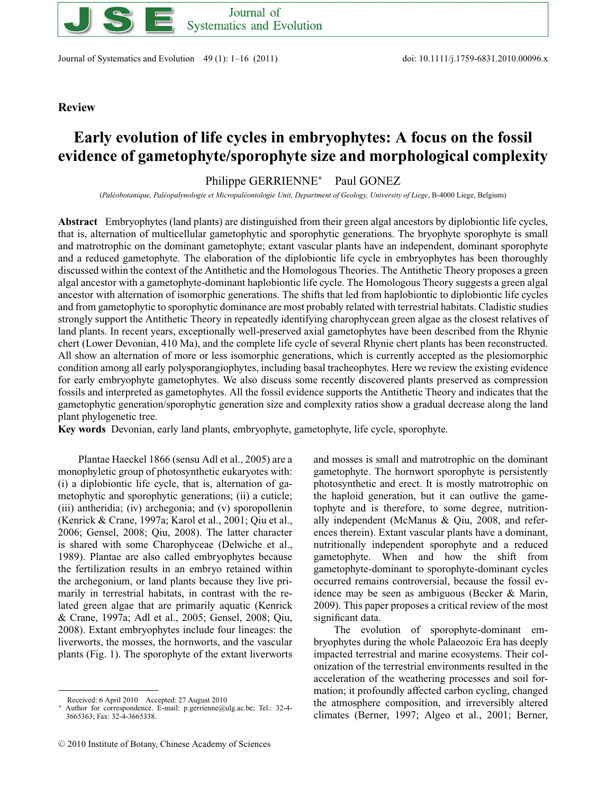

Journal of **Systematics and Evolution** 

Journal of Systematics and Evolution 49 (1): 1-16 (2011) doi: 10.1111/j.1759-6831.2010.00096.x

**Review**

# **Early evolution of life cycles in embryophytes: A focus on the fossil evidence of gametophyte/sporophyte size and morphological complexity**

### Philippe GERRIENNE<sup>∗</sup> Paul GONEZ

(*Paleobotanique, Pal ´ eopalynologie et Micropal ´ eontologie Unit, Department of Geology, University of Liege ´* , B-4000 Liege, Belgium)

**Abstract** Embryophytes (land plants) are distinguished from their green algal ancestors by diplobiontic life cycles, that is, alternation of multicellular gametophytic and sporophytic generations. The bryophyte sporophyte is small and matrotrophic on the dominant gametophyte; extant vascular plants have an independent, dominant sporophyte and a reduced gametophyte. The elaboration of the diplobiontic life cycle in embryophytes has been thoroughly discussed within the context of the Antithetic and the Homologous Theories. The Antithetic Theory proposes a green algal ancestor with a gametophyte-dominant haplobiontic life cycle. The Homologous Theory suggests a green algal ancestor with alternation of isomorphic generations. The shifts that led from haplobiontic to diplobiontic life cycles and from gametophytic to sporophytic dominance are most probably related with terrestrial habitats. Cladistic studies strongly support the Antithetic Theory in repeatedly identifying charophycean green algae as the closest relatives of land plants. In recent years, exceptionally well-preserved axial gametophytes have been described from the Rhynie chert (Lower Devonian, 410 Ma), and the complete life cycle of several Rhynie chert plants has been reconstructed. All show an alternation of more or less isomorphic generations, which is currently accepted as the plesiomorphic condition among all early polysporangiophytes, including basal tracheophytes. Here we review the existing evidence for early embryophyte gametophytes. We also discuss some recently discovered plants preserved as compression fossils and interpreted as gametophytes. All the fossil evidence supports the Antithetic Theory and indicates that the gametophytic generation/sporophytic generation size and complexity ratios show a gradual decrease along the land plant phylogenetic tree.

**Key words** Devonian, early land plants, embryophyte, gametophyte, life cycle, sporophyte.

Plantae Haeckel 1866 (sensu Adl et al., 2005) are a monophyletic group of photosynthetic eukaryotes with: (i) a diplobiontic life cycle, that is, alternation of gametophytic and sporophytic generations; (ii) a cuticle; (iii) antheridia; (iv) archegonia; and (v) sporopollenin (Kenrick & Crane, 1997a; Karol et al., 2001; Qiu et al., 2006; Gensel, 2008; Qiu, 2008). The latter character is shared with some Charophyceae (Delwiche et al., 1989). Plantae are also called embryophytes because the fertilization results in an embryo retained within the archegonium, or land plants because they live primarily in terrestrial habitats, in contrast with the related green algae that are primarily aquatic (Kenrick & Crane, 1997a; Adl et al., 2005; Gensel, 2008; Qiu, 2008). Extant embryophytes include four lineages: the liverworts, the mosses, the hornworts, and the vascular plants (Fig. 1). The sporophyte of the extant liverworts

and mosses is small and matrotrophic on the dominant gametophyte. The hornwort sporophyte is persistently photosynthetic and erect. It is mostly matrotrophic on the haploid generation, but it can outlive the gametophyte and is therefore, to some degree, nutritionally independent (McManus & Qiu, 2008, and references therein). Extant vascular plants have a dominant, nutritionally independent sporophyte and a reduced gametophyte. When and how the shift from gametophyte-dominant to sporophyte-dominant cycles occurred remains controversial, because the fossil evidence may be seen as ambiguous (Becker & Marin, 2009). This paper proposes a critical review of the most significant data.

The evolution of sporophyte-dominant embryophytes during the whole Palaeozoic Era has deeply impacted terrestrial and marine ecosystems. Their colonization of the terrestrial environments resulted in the acceleration of the weathering processes and soil formation; it profoundly affected carbon cycling, changed the atmosphere composition, and irreversibly altered climates (Berner, 1997; Algeo et al., 2001; Berner,

Received: 6 April 2010 Accepted: 27 August 2010

<sup>∗</sup> Author for correspondence. E-mail: p.gerrienne@ulg.ac.be; Tel.: 32-4- 3665363; Fax: 32-4-3665338.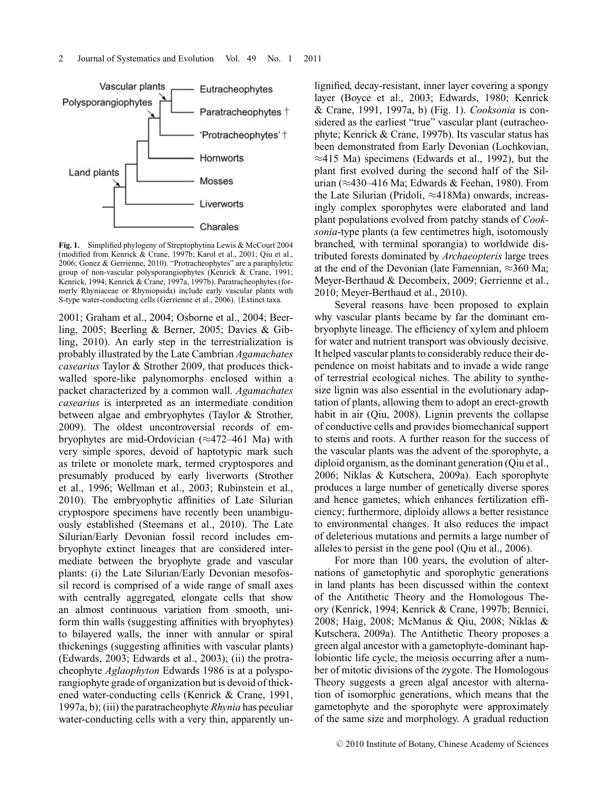

**Fig. 1.** Simplified phylogeny of Streptophytina Lewis & McCourt 2004 (modified from Kenrick & Crane, 1997b; Karol et al., 2001; Qiu et al., 2006; Gonez & Gerrienne, 2010). "Protracheophytes" are a paraphyletic group of non-vascular polysporangiophytes (Kenrick & Crane, 1991; Kenrick, 1994; Kenrick & Crane, 1997a, 1997b). Paratracheophytes (formerly Rhyniaceae or Rhyniopsida) include early vascular plants with S-type water-conducting cells (Gerrienne et al., 2006). †Extinct taxa.

2001; Graham et al., 2004; Osborne et al., 2004; Beerling, 2005; Beerling & Berner, 2005; Davies & Gibling, 2010). An early step in the terrestrialization is probably illustrated by the Late Cambrian *Agamachates casearius* Taylor & Strother 2009, that produces thickwalled spore-like palynomorphs enclosed within a packet characterized by a common wall. *Agamachates casearius* is interpreted as an intermediate condition between algae and embryophytes (Taylor & Strother, 2009). The oldest uncontroversial records of embryophytes are mid-Ordovician ( $\approx$ 472–461 Ma) with very simple spores, devoid of haptotypic mark such as trilete or monolete mark, termed cryptospores and presumably produced by early liverworts (Strother et al., 1996; Wellman et al., 2003; Rubinstein et al., 2010). The embryophytic affinities of Late Silurian cryptospore specimens have recently been unambiguously established (Steemans et al., 2010). The Late Silurian/Early Devonian fossil record includes embryophyte extinct lineages that are considered intermediate between the bryophyte grade and vascular plants: (i) the Late Silurian/Early Devonian mesofossil record is comprised of a wide range of small axes with centrally aggregated, elongate cells that show an almost continuous variation from smooth, uniform thin walls (suggesting affinities with bryophytes) to bilayered walls, the inner with annular or spiral thickenings (suggesting affinities with vascular plants) (Edwards, 2003; Edwards et al., 2003); (ii) the protracheophyte *Aglaophyton* Edwards 1986 is at a polysporangiophyte grade of organization but is devoid of thickened water-conducting cells (Kenrick & Crane, 1991, 1997a, b); (iii) the paratracheophyte *Rhynia* has peculiar water-conducting cells with a very thin, apparently unlignified, decay-resistant, inner layer covering a spongy layer (Boyce et al., 2003; Edwards, 1980; Kenrick & Crane, 1991, 1997a, b) (Fig. 1). *Cooksonia* is considered as the earliest "true" vascular plant (eutracheophyte; Kenrick & Crane, 1997b). Its vascular status has been demonstrated from Early Devonian (Lochkovian, ≈415 Ma) specimens (Edwards et al., 1992), but the plant first evolved during the second half of the Silurian ( $\approx$ 430–416 Ma; Edwards & Feehan, 1980). From the Late Silurian (Pridoli,  $\approx$ 418Ma) onwards, increasingly complex sporophytes were elaborated and land plant populations evolved from patchy stands of *Cooksonia*-type plants (a few centimetres high, isotomously branched, with terminal sporangia) to worldwide distributed forests dominated by *Archaeopteris* large trees at the end of the Devonian (late Famennian,  $\approx$ 360 Ma; Meyer-Berthaud & Decombeix, 2009; Gerrienne et al., 2010; Meyer-Berthaud et al., 2010).

Several reasons have been proposed to explain why vascular plants became by far the dominant embryophyte lineage. The efficiency of xylem and phloem for water and nutrient transport was obviously decisive. It helped vascular plants to considerably reduce their dependence on moist habitats and to invade a wide range of terrestrial ecological niches. The ability to synthesize lignin was also essential in the evolutionary adaptation of plants, allowing them to adopt an erect-growth habit in air (Qiu, 2008). Lignin prevents the collapse of conductive cells and provides biomechanical support to stems and roots. A further reason for the success of the vascular plants was the advent of the sporophyte, a diploid organism, as the dominant generation (Qiu et al., 2006; Niklas & Kutschera, 2009a). Each sporophyte produces a large number of genetically diverse spores and hence gametes, which enhances fertilization efficiency; furthermore, diploidy allows a better resistance to environmental changes. It also reduces the impact of deleterious mutations and permits a large number of alleles to persist in the gene pool (Qiu et al., 2006).

For more than 100 years, the evolution of alternations of gametophytic and sporophytic generations in land plants has been discussed within the context of the Antithetic Theory and the Homologous Theory (Kenrick, 1994; Kenrick & Crane, 1997b; Bennici, 2008; Haig, 2008; McManus & Qiu, 2008; Niklas & Kutschera, 2009a). The Antithetic Theory proposes a green algal ancestor with a gametophyte-dominant haplobiontic life cycle, the meiosis occurring after a number of mitotic divisions of the zygote. The Homologous Theory suggests a green algal ancestor with alternation of isomorphic generations, which means that the gametophyte and the sporophyte were approximately of the same size and morphology. A gradual reduction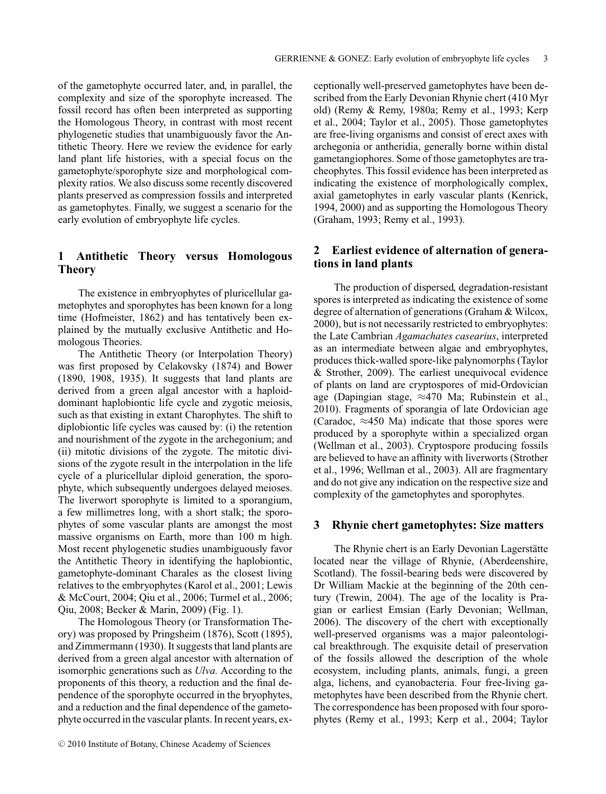of the gametophyte occurred later, and, in parallel, the complexity and size of the sporophyte increased. The fossil record has often been interpreted as supporting the Homologous Theory, in contrast with most recent phylogenetic studies that unambiguously favor the Antithetic Theory. Here we review the evidence for early land plant life histories, with a special focus on the gametophyte/sporophyte size and morphological complexity ratios. We also discuss some recently discovered plants preserved as compression fossils and interpreted as gametophytes. Finally, we suggest a scenario for the early evolution of embryophyte life cycles.

## **1 Antithetic Theory versus Homologous Theory**

The existence in embryophytes of pluricellular gametophytes and sporophytes has been known for a long time (Hofmeister, 1862) and has tentatively been explained by the mutually exclusive Antithetic and Homologous Theories.

The Antithetic Theory (or Interpolation Theory) was first proposed by Celakovsky (1874) and Bower (1890, 1908, 1935). It suggests that land plants are derived from a green algal ancestor with a haploiddominant haplobiontic life cycle and zygotic meiosis, such as that existing in extant Charophytes. The shift to diplobiontic life cycles was caused by: (i) the retention and nourishment of the zygote in the archegonium; and (ii) mitotic divisions of the zygote. The mitotic divisions of the zygote result in the interpolation in the life cycle of a pluricellular diploid generation, the sporophyte, which subsequently undergoes delayed meioses. The liverwort sporophyte is limited to a sporangium, a few millimetres long, with a short stalk; the sporophytes of some vascular plants are amongst the most massive organisms on Earth, more than 100 m high. Most recent phylogenetic studies unambiguously favor the Antithetic Theory in identifying the haplobiontic, gametophyte-dominant Charales as the closest living relatives to the embryophytes (Karol et al., 2001; Lewis & McCourt, 2004; Qiu et al., 2006; Turmel et al., 2006; Qiu, 2008; Becker & Marin, 2009) (Fig. 1).

The Homologous Theory (or Transformation Theory) was proposed by Pringsheim (1876), Scott (1895), and Zimmermann (1930). It suggests that land plants are derived from a green algal ancestor with alternation of isomorphic generations such as *Ulva.* According to the proponents of this theory, a reduction and the final dependence of the sporophyte occurred in the bryophytes, and a reduction and the final dependence of the gametophyte occurred in the vascular plants. In recent years, exceptionally well-preserved gametophytes have been described from the Early Devonian Rhynie chert (410 Myr old) (Remy & Remy, 1980a; Remy et al., 1993; Kerp et al., 2004; Taylor et al., 2005). Those gametophytes are free-living organisms and consist of erect axes with archegonia or antheridia, generally borne within distal gametangiophores. Some of those gametophytes are tracheophytes. This fossil evidence has been interpreted as indicating the existence of morphologically complex, axial gametophytes in early vascular plants (Kenrick, 1994, 2000) and as supporting the Homologous Theory (Graham, 1993; Remy et al., 1993).

### **2 Earliest evidence of alternation of generations in land plants**

The production of dispersed, degradation-resistant spores is interpreted as indicating the existence of some degree of alternation of generations (Graham & Wilcox, 2000), but is not necessarily restricted to embryophytes: the Late Cambrian *Agamachates casearius*, interpreted as an intermediate between algae and embryophytes, produces thick-walled spore-like palynomorphs (Taylor & Strother, 2009). The earliest unequivocal evidence of plants on land are cryptospores of mid-Ordovician age (Dapingian stage,  $\approx$ 470 Ma; Rubinstein et al., 2010). Fragments of sporangia of late Ordovician age (Caradoc,  $\approx$ 450 Ma) indicate that those spores were produced by a sporophyte within a specialized organ (Wellman et al., 2003). Cryptospore producing fossils are believed to have an affinity with liverworts (Strother et al., 1996; Wellman et al., 2003). All are fragmentary and do not give any indication on the respective size and complexity of the gametophytes and sporophytes.

#### **3 Rhynie chert gametophytes: Size matters**

The Rhynie chert is an Early Devonian Lagerstätte located near the village of Rhynie, (Aberdeenshire, Scotland). The fossil-bearing beds were discovered by Dr William Mackie at the beginning of the 20th century (Trewin, 2004). The age of the locality is Pragian or earliest Emsian (Early Devonian; Wellman, 2006). The discovery of the chert with exceptionally well-preserved organisms was a major paleontological breakthrough. The exquisite detail of preservation of the fossils allowed the description of the whole ecosystem, including plants, animals, fungi, a green alga, lichens, and cyanobacteria. Four free-living gametophytes have been described from the Rhynie chert. The correspondence has been proposed with four sporophytes (Remy et al., 1993; Kerp et al., 2004; Taylor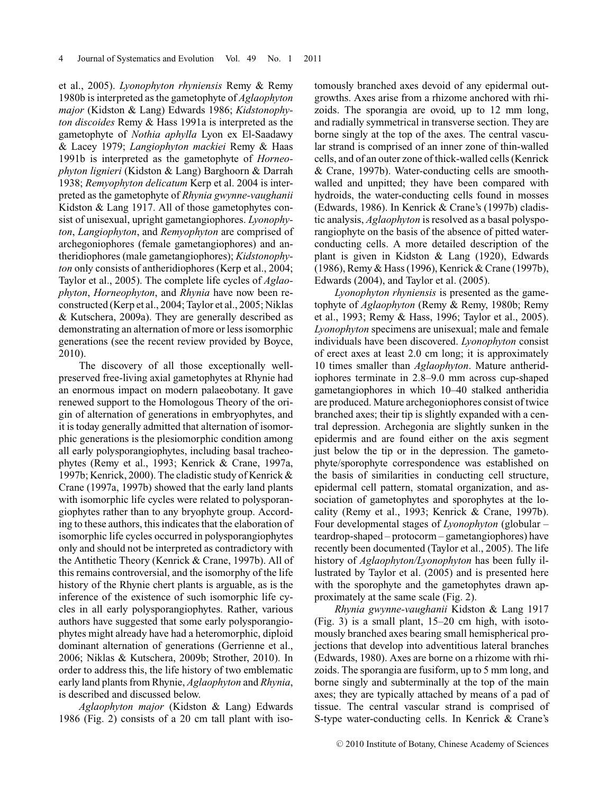et al., 2005). *Lyonophyton rhyniensis* Remy & Remy 1980b is interpreted as the gametophyte of *Aglaophyton major* (Kidston & Lang) Edwards 1986; *Kidstonophyton discoides* Remy & Hass 1991a is interpreted as the gametophyte of *Nothia aphylla* Lyon ex El-Saadawy & Lacey 1979; *Langiophyton mackiei* Remy & Haas 1991b is interpreted as the gametophyte of *Horneophyton lignieri* (Kidston & Lang) Barghoorn & Darrah 1938; *Remyophyton delicatum* Kerp et al. 2004 is interpreted as the gametophyte of *Rhynia gwynne-vaughanii* Kidston & Lang 1917. All of those gametophytes consist of unisexual, upright gametangiophores. *Lyonophyton*, *Langiophyton*, and *Remyophyton* are comprised of archegoniophores (female gametangiophores) and antheridiophores (male gametangiophores); *Kidstonophyton* only consists of antheridiophores (Kerp et al., 2004; Taylor et al., 2005). The complete life cycles of *Aglaophyton*, *Horneophyton*, and *Rhynia* have now been reconstructed (Kerp et al., 2004; Taylor et al., 2005; Niklas & Kutschera, 2009a). They are generally described as demonstrating an alternation of more or less isomorphic generations (see the recent review provided by Boyce, 2010).

The discovery of all those exceptionally wellpreserved free-living axial gametophytes at Rhynie had an enormous impact on modern palaeobotany. It gave renewed support to the Homologous Theory of the origin of alternation of generations in embryophytes, and it is today generally admitted that alternation of isomorphic generations is the plesiomorphic condition among all early polysporangiophytes, including basal tracheophytes (Remy et al., 1993; Kenrick & Crane, 1997a, 1997b; Kenrick, 2000). The cladistic study of Kenrick & Crane (1997a, 1997b) showed that the early land plants with isomorphic life cycles were related to polysporangiophytes rather than to any bryophyte group. According to these authors, this indicates that the elaboration of isomorphic life cycles occurred in polysporangiophytes only and should not be interpreted as contradictory with the Antithetic Theory (Kenrick & Crane, 1997b). All of this remains controversial, and the isomorphy of the life history of the Rhynie chert plants is arguable, as is the inference of the existence of such isomorphic life cycles in all early polysporangiophytes. Rather, various authors have suggested that some early polysporangiophytes might already have had a heteromorphic, diploid dominant alternation of generations (Gerrienne et al., 2006; Niklas & Kutschera, 2009b; Strother, 2010). In order to address this, the life history of two emblematic early land plants from Rhynie, *Aglaophyton* and *Rhynia*, is described and discussed below.

*Aglaophyton major* (Kidston & Lang) Edwards 1986 (Fig. 2) consists of a 20 cm tall plant with iso-

tomously branched axes devoid of any epidermal outgrowths. Axes arise from a rhizome anchored with rhizoids. The sporangia are ovoid, up to 12 mm long, and radially symmetrical in transverse section. They are borne singly at the top of the axes. The central vascular strand is comprised of an inner zone of thin-walled cells, and of an outer zone of thick-walled cells (Kenrick & Crane, 1997b). Water-conducting cells are smoothwalled and unpitted; they have been compared with hydroids, the water-conducting cells found in mosses (Edwards, 1986). In Kenrick & Crane's (1997b) cladistic analysis, *Aglaophyton* is resolved as a basal polysporangiophyte on the basis of the absence of pitted waterconducting cells. A more detailed description of the plant is given in Kidston & Lang (1920), Edwards (1986), Remy & Hass (1996), Kenrick & Crane (1997b), Edwards (2004), and Taylor et al. (2005).

*Lyonophyton rhyniensis* is presented as the gametophyte of *Aglaophyton* (Remy & Remy, 1980b; Remy et al., 1993; Remy & Hass, 1996; Taylor et al., 2005). *Lyonophyton* specimens are unisexual; male and female individuals have been discovered. *Lyonophyton* consist of erect axes at least 2.0 cm long; it is approximately 10 times smaller than *Aglaophyton*. Mature antheridiophores terminate in 2.8–9.0 mm across cup-shaped gametangiophores in which 10–40 stalked antheridia are produced. Mature archegoniophores consist of twice branched axes; their tip is slightly expanded with a central depression. Archegonia are slightly sunken in the epidermis and are found either on the axis segment just below the tip or in the depression. The gametophyte/sporophyte correspondence was established on the basis of similarities in conducting cell structure, epidermal cell pattern, stomatal organization, and association of gametophytes and sporophytes at the locality (Remy et al., 1993; Kenrick & Crane, 1997b). Four developmental stages of *Lyonophyton* (globular – teardrop-shaped – protocorm – gametangiophores) have recently been documented (Taylor et al., 2005). The life history of *Aglaophyton/Lyonophyton* has been fully illustrated by Taylor et al. (2005) and is presented here with the sporophyte and the gametophytes drawn approximately at the same scale (Fig. 2).

*Rhynia gwynne-vaughanii* Kidston & Lang 1917 (Fig. 3) is a small plant, 15–20 cm high, with isotomously branched axes bearing small hemispherical projections that develop into adventitious lateral branches (Edwards, 1980). Axes are borne on a rhizome with rhizoids. The sporangia are fusiform, up to 5 mm long, and borne singly and subterminally at the top of the main axes; they are typically attached by means of a pad of tissue. The central vascular strand is comprised of S-type water-conducting cells. In Kenrick & Crane's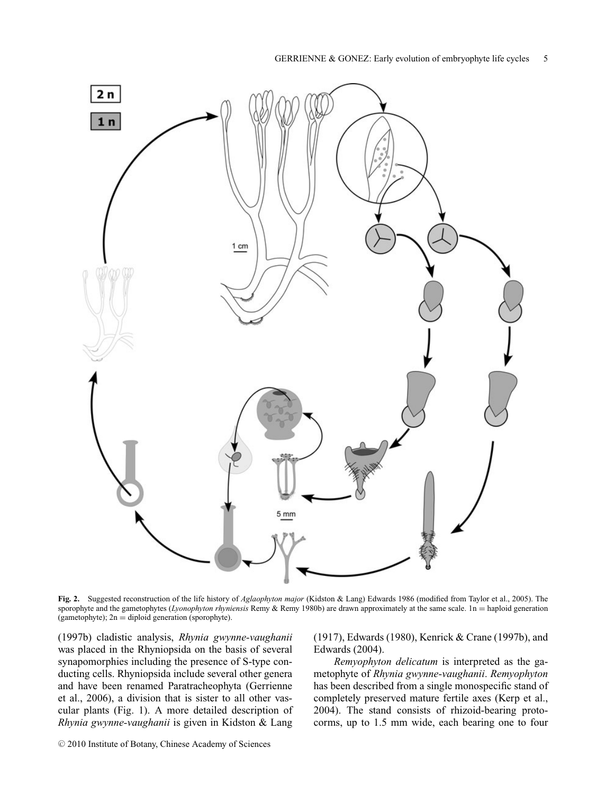

**Fig. 2.** Suggested reconstruction of the life history of *Aglaophyton major* (Kidston & Lang) Edwards 1986 (modified from Taylor et al., 2005). The sporophyte and the gametophytes (*Lyonophyton rhyniensis* Remy & Remy 1980b) are drawn approximately at the same scale. 1n = haploid generation  $(game to phyte)$ ;  $2n = diploid generation (sporophyte)$ .

(1997b) cladistic analysis, *Rhynia gwynne-vaughanii* was placed in the Rhyniopsida on the basis of several synapomorphies including the presence of S-type conducting cells. Rhyniopsida include several other genera and have been renamed Paratracheophyta (Gerrienne et al., 2006), a division that is sister to all other vascular plants (Fig. 1). A more detailed description of *Rhynia gwynne-vaughanii* is given in Kidston & Lang

(1917), Edwards (1980), Kenrick & Crane (1997b), and Edwards (2004).

*Remyophyton delicatum* is interpreted as the gametophyte of *Rhynia gwynne-vaughanii*. *Remyophyton* has been described from a single monospecific stand of completely preserved mature fertile axes (Kerp et al., 2004). The stand consists of rhizoid-bearing protocorms, up to 1.5 mm wide, each bearing one to four

<sup>C</sup> 2010 Institute of Botany, Chinese Academy of Sciences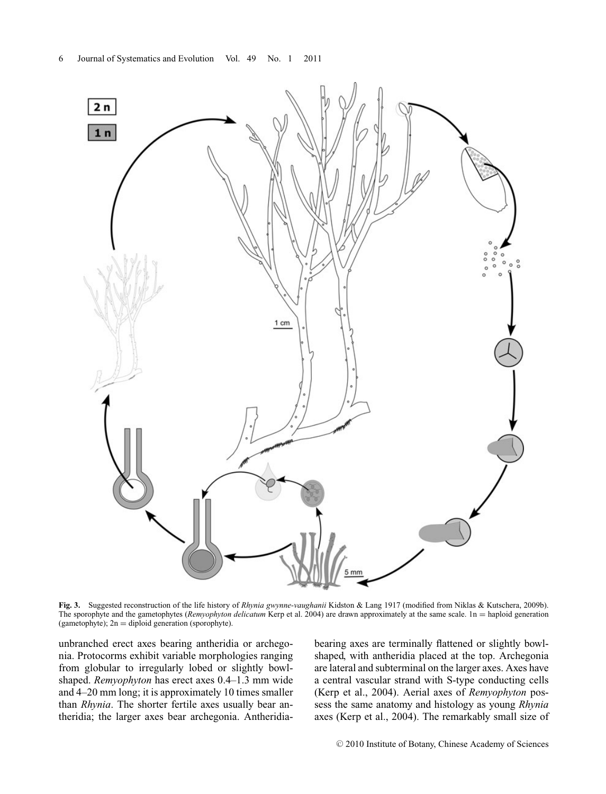

**Fig. 3.** Suggested reconstruction of the life history of *Rhynia gwynne-vaughanii* Kidston & Lang 1917 (modified from Niklas & Kutschera, 2009b). The sporophyte and the gametophytes (*Remyophyton delicatum* Kerp et al. 2004) are drawn approximately at the same scale. 1n = haploid generation  $(gametophyte); 2n = diploid generation (sporophyte).$ 

unbranched erect axes bearing antheridia or archegonia. Protocorms exhibit variable morphologies ranging from globular to irregularly lobed or slightly bowlshaped. *Remyophyton* has erect axes 0.4–1.3 mm wide and 4–20 mm long; it is approximately 10 times smaller than *Rhynia*. The shorter fertile axes usually bear antheridia; the larger axes bear archegonia. Antheridiabearing axes are terminally flattened or slightly bowlshaped, with antheridia placed at the top. Archegonia are lateral and subterminal on the larger axes. Axes have a central vascular strand with S-type conducting cells (Kerp et al., 2004). Aerial axes of *Remyophyton* possess the same anatomy and histology as young *Rhynia* axes (Kerp et al., 2004). The remarkably small size of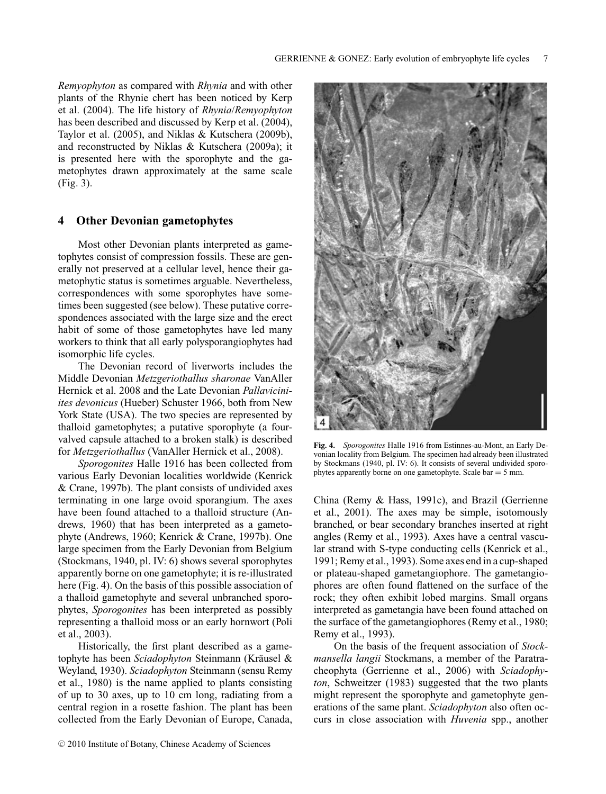*Remyophyton* as compared with *Rhynia* and with other plants of the Rhynie chert has been noticed by Kerp et al. (2004). The life history of *Rhynia*/*Remyophyton* has been described and discussed by Kerp et al. (2004), Taylor et al. (2005), and Niklas & Kutschera (2009b), and reconstructed by Niklas & Kutschera (2009a); it is presented here with the sporophyte and the gametophytes drawn approximately at the same scale (Fig. 3).

#### **4 Other Devonian gametophytes**

Most other Devonian plants interpreted as gametophytes consist of compression fossils. These are generally not preserved at a cellular level, hence their gametophytic status is sometimes arguable. Nevertheless, correspondences with some sporophytes have sometimes been suggested (see below). These putative correspondences associated with the large size and the erect habit of some of those gametophytes have led many workers to think that all early polysporangiophytes had isomorphic life cycles.

The Devonian record of liverworts includes the Middle Devonian *Metzgeriothallus sharonae* VanAller Hernick et al. 2008 and the Late Devonian *Pallaviciniites devonicus* (Hueber) Schuster 1966, both from New York State (USA). The two species are represented by thalloid gametophytes; a putative sporophyte (a fourvalved capsule attached to a broken stalk) is described for *Metzgeriothallus* (VanAller Hernick et al., 2008).

*Sporogonites* Halle 1916 has been collected from various Early Devonian localities worldwide (Kenrick & Crane, 1997b). The plant consists of undivided axes terminating in one large ovoid sporangium. The axes have been found attached to a thalloid structure (Andrews, 1960) that has been interpreted as a gametophyte (Andrews, 1960; Kenrick & Crane, 1997b). One large specimen from the Early Devonian from Belgium (Stockmans, 1940, pl. IV: 6) shows several sporophytes apparently borne on one gametophyte; it is re-illustrated here (Fig. 4). On the basis of this possible association of a thalloid gametophyte and several unbranched sporophytes, *Sporogonites* has been interpreted as possibly representing a thalloid moss or an early hornwort (Poli et al., 2003).

Historically, the first plant described as a gametophyte has been *Sciadophyton* Steinmann (Kräusel & Weyland, 1930). *Sciadophyton* Steinmann (sensu Remy et al., 1980) is the name applied to plants consisting of up to 30 axes, up to 10 cm long, radiating from a central region in a rosette fashion. The plant has been collected from the Early Devonian of Europe, Canada,



**Fig. 4.** *Sporogonites* Halle 1916 from Estinnes-au-Mont, an Early Devonian locality from Belgium. The specimen had already been illustrated by Stockmans (1940, pl. IV: 6). It consists of several undivided sporophytes apparently borne on one gametophyte. Scale  $bar = 5$  mm.

China (Remy & Hass, 1991c), and Brazil (Gerrienne et al., 2001). The axes may be simple, isotomously branched, or bear secondary branches inserted at right angles (Remy et al., 1993). Axes have a central vascular strand with S-type conducting cells (Kenrick et al., 1991; Remy et al., 1993). Some axes end in a cup-shaped or plateau-shaped gametangiophore. The gametangiophores are often found flattened on the surface of the rock; they often exhibit lobed margins. Small organs interpreted as gametangia have been found attached on the surface of the gametangiophores (Remy et al., 1980; Remy et al., 1993).

On the basis of the frequent association of *Stockmansella langii* Stockmans, a member of the Paratracheophyta (Gerrienne et al., 2006) with *Sciadophyton*, Schweitzer (1983) suggested that the two plants might represent the sporophyte and gametophyte generations of the same plant. *Sciadophyton* also often occurs in close association with *Huvenia* spp., another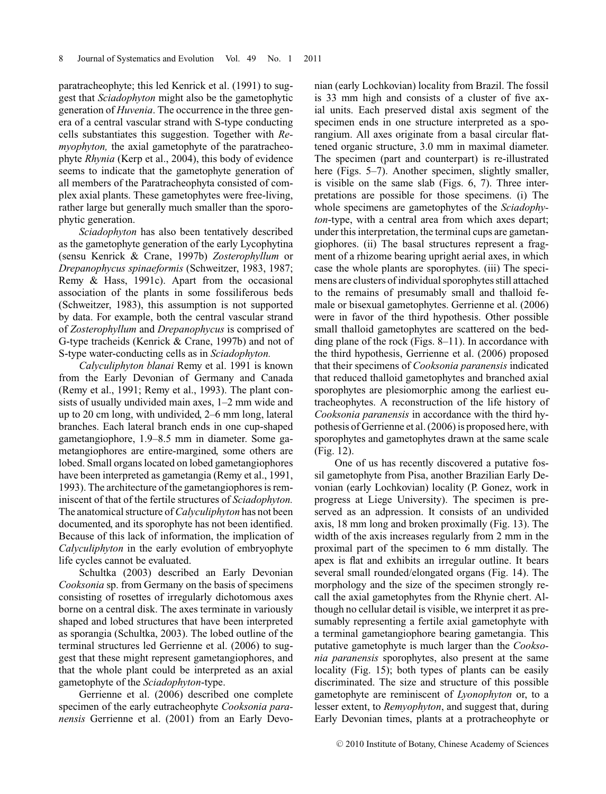paratracheophyte; this led Kenrick et al. (1991) to suggest that *Sciadophyton* might also be the gametophytic generation of *Huvenia*. The occurrence in the three genera of a central vascular strand with S-type conducting cells substantiates this suggestion. Together with *Remyophyton,* the axial gametophyte of the paratracheophyte *Rhynia* (Kerp et al., 2004), this body of evidence seems to indicate that the gametophyte generation of all members of the Paratracheophyta consisted of complex axial plants. These gametophytes were free-living, rather large but generally much smaller than the sporophytic generation.

*Sciadophyton* has also been tentatively described as the gametophyte generation of the early Lycophytina (sensu Kenrick & Crane, 1997b) *Zosterophyllum* or *Drepanophycus spinaeformis* (Schweitzer, 1983, 1987; Remy & Hass, 1991c). Apart from the occasional association of the plants in some fossiliferous beds (Schweitzer, 1983), this assumption is not supported by data. For example, both the central vascular strand of *Zosterophyllum* and *Drepanophycus* is comprised of G-type tracheids (Kenrick & Crane, 1997b) and not of S-type water-conducting cells as in *Sciadophyton.*

*Calyculiphyton blanai* Remy et al. 1991 is known from the Early Devonian of Germany and Canada (Remy et al., 1991; Remy et al., 1993). The plant consists of usually undivided main axes, 1–2 mm wide and up to 20 cm long, with undivided, 2–6 mm long, lateral branches. Each lateral branch ends in one cup-shaped gametangiophore, 1.9–8.5 mm in diameter. Some gametangiophores are entire-margined, some others are lobed. Small organs located on lobed gametangiophores have been interpreted as gametangia (Remy et al., 1991, 1993). The architecture of the gametangiophores is reminiscent of that of the fertile structures of *Sciadophyton.* The anatomical structure of*Calyculiphyton* has not been documented, and its sporophyte has not been identified. Because of this lack of information, the implication of *Calyculiphyton* in the early evolution of embryophyte life cycles cannot be evaluated.

Schultka (2003) described an Early Devonian *Cooksonia* sp. from Germany on the basis of specimens consisting of rosettes of irregularly dichotomous axes borne on a central disk. The axes terminate in variously shaped and lobed structures that have been interpreted as sporangia (Schultka, 2003). The lobed outline of the terminal structures led Gerrienne et al. (2006) to suggest that these might represent gametangiophores, and that the whole plant could be interpreted as an axial gametophyte of the *Sciadophyton*-type.

Gerrienne et al. (2006) described one complete specimen of the early eutracheophyte *Cooksonia paranensis* Gerrienne et al. (2001) from an Early Devonian (early Lochkovian) locality from Brazil. The fossil is 33 mm high and consists of a cluster of five axial units. Each preserved distal axis segment of the specimen ends in one structure interpreted as a sporangium. All axes originate from a basal circular flattened organic structure, 3.0 mm in maximal diameter. The specimen (part and counterpart) is re-illustrated here (Figs. 5–7). Another specimen, slightly smaller, is visible on the same slab (Figs. 6, 7). Three interpretations are possible for those specimens. (i) The whole specimens are gametophytes of the *Sciadophyton*-type, with a central area from which axes depart; under this interpretation, the terminal cups are gametangiophores. (ii) The basal structures represent a fragment of a rhizome bearing upright aerial axes, in which case the whole plants are sporophytes. (iii) The specimens are clusters of individual sporophytes still attached to the remains of presumably small and thalloid female or bisexual gametophytes. Gerrienne et al. (2006) were in favor of the third hypothesis. Other possible small thalloid gametophytes are scattered on the bedding plane of the rock (Figs. 8–11). In accordance with the third hypothesis, Gerrienne et al. (2006) proposed that their specimens of *Cooksonia paranensis* indicated that reduced thalloid gametophytes and branched axial sporophytes are plesiomorphic among the earliest eutracheophytes. A reconstruction of the life history of *Cooksonia paranensis* in accordance with the third hypothesis of Gerrienne et al. (2006) is proposed here, with sporophytes and gametophytes drawn at the same scale (Fig. 12).

One of us has recently discovered a putative fossil gametophyte from Pisa, another Brazilian Early Devonian (early Lochkovian) locality (P. Gonez, work in progress at Liege University). The specimen is preserved as an adpression. It consists of an undivided axis, 18 mm long and broken proximally (Fig. 13). The width of the axis increases regularly from 2 mm in the proximal part of the specimen to 6 mm distally. The apex is flat and exhibits an irregular outline. It bears several small rounded/elongated organs (Fig. 14). The morphology and the size of the specimen strongly recall the axial gametophytes from the Rhynie chert. Although no cellular detail is visible, we interpret it as presumably representing a fertile axial gametophyte with a terminal gametangiophore bearing gametangia. This putative gametophyte is much larger than the *Cooksonia paranensis* sporophytes, also present at the same locality (Fig. 15); both types of plants can be easily discriminated. The size and structure of this possible gametophyte are reminiscent of *Lyonophyton* or, to a lesser extent, to *Remyophyton*, and suggest that, during Early Devonian times, plants at a protracheophyte or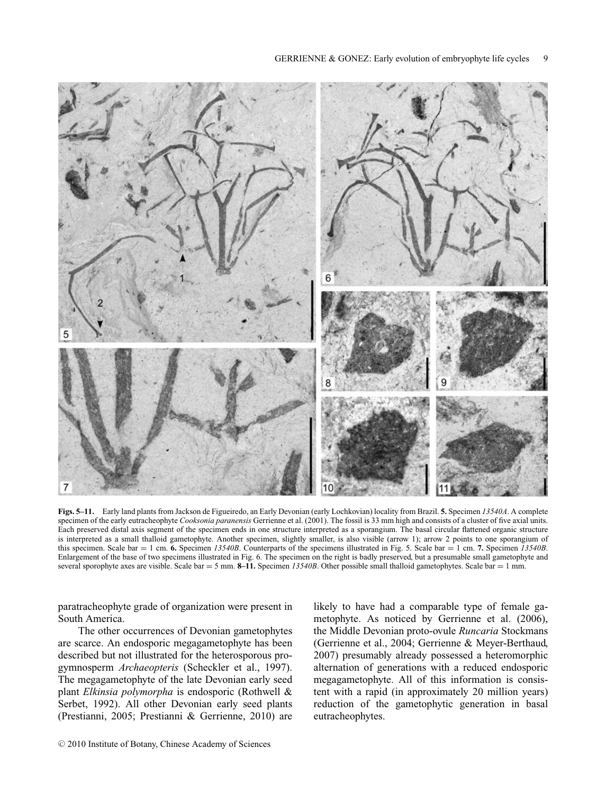

**Figs. 5–11.** Early land plants from Jackson de Figueiredo, an Early Devonian (early Lochkovian) locality from Brazil. **5.** Specimen *13540A*. A complete specimen of the early eutracheophyte *Cooksonia paranensis* Gerrienne et al. (2001). The fossil is 33 mm high and consists of a cluster of five axial units. Each preserved distal axis segment of the specimen ends in one structure interpreted as a sporangium. The basal circular flattened organic structure is interpreted as a small thalloid gametophyte. Another specimen, slightly smaller, is also visible (arrow 1); arrow 2 points to one sporangium of this specimen. Scale bar = 1 cm. **6.** Specimen *13540B*. Counterparts of the specimens illustrated in Fig. 5. Scale bar = 1 cm. **7.** Specimen *13540B*. Enlargement of the base of two specimens illustrated in Fig. 6. The specimen on the right is badly preserved, but a presumable small gametophyte and several sporophyte axes are visible. Scale bar = 5 mm. **8–11.** Specimen *13540B*. Other possible small thalloid gametophytes. Scale bar = 1 mm.

paratracheophyte grade of organization were present in South America.

The other occurrences of Devonian gametophytes are scarce. An endosporic megagametophyte has been described but not illustrated for the heterosporous progymnosperm *Archaeopteris* (Scheckler et al., 1997). The megagametophyte of the late Devonian early seed plant *Elkinsia polymorpha* is endosporic (Rothwell & Serbet, 1992). All other Devonian early seed plants (Prestianni, 2005; Prestianni & Gerrienne, 2010) are

<sup>C</sup> 2010 Institute of Botany, Chinese Academy of Sciences

likely to have had a comparable type of female gametophyte. As noticed by Gerrienne et al. (2006), the Middle Devonian proto-ovule *Runcaria* Stockmans (Gerrienne et al., 2004; Gerrienne & Meyer-Berthaud, 2007) presumably already possessed a heteromorphic alternation of generations with a reduced endosporic megagametophyte. All of this information is consistent with a rapid (in approximately 20 million years) reduction of the gametophytic generation in basal eutracheophytes.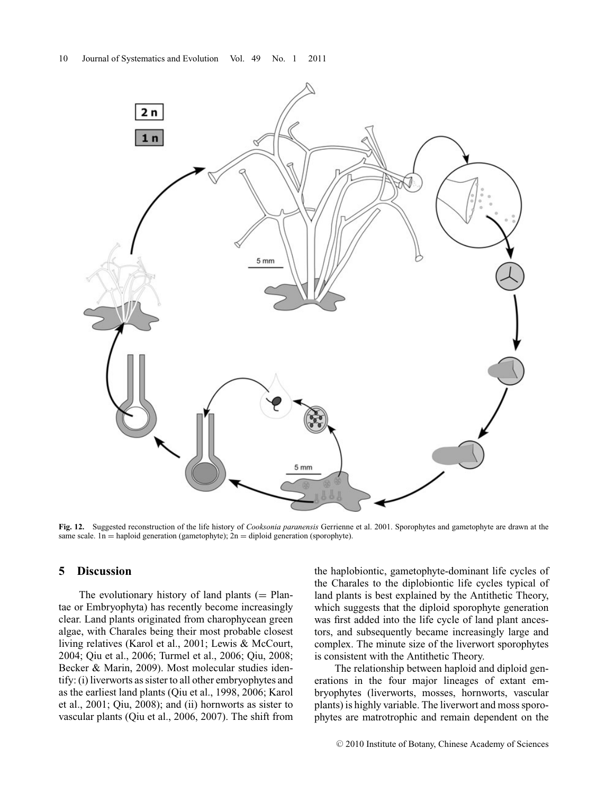

**Fig. 12.** Suggested reconstruction of the life history of *Cooksonia paranensis* Gerrienne et al. 2001. Sporophytes and gametophyte are drawn at the same scale.  $1n = haploid generation (gametophyte); 2n = diploid generation (sporophyte).$ 

#### **5 Discussion**

The evolutionary history of land plants  $(=$  Plantae or Embryophyta) has recently become increasingly clear. Land plants originated from charophycean green algae, with Charales being their most probable closest living relatives (Karol et al., 2001; Lewis & McCourt, 2004; Qiu et al., 2006; Turmel et al., 2006; Qiu, 2008; Becker & Marin, 2009). Most molecular studies identify: (i) liverworts as sister to all other embryophytes and as the earliest land plants (Qiu et al., 1998, 2006; Karol et al., 2001; Qiu, 2008); and (ii) hornworts as sister to vascular plants (Qiu et al., 2006, 2007). The shift from

the haplobiontic, gametophyte-dominant life cycles of the Charales to the diplobiontic life cycles typical of land plants is best explained by the Antithetic Theory, which suggests that the diploid sporophyte generation was first added into the life cycle of land plant ancestors, and subsequently became increasingly large and complex. The minute size of the liverwort sporophytes is consistent with the Antithetic Theory.

The relationship between haploid and diploid generations in the four major lineages of extant embryophytes (liverworts, mosses, hornworts, vascular plants) is highly variable. The liverwort and moss sporophytes are matrotrophic and remain dependent on the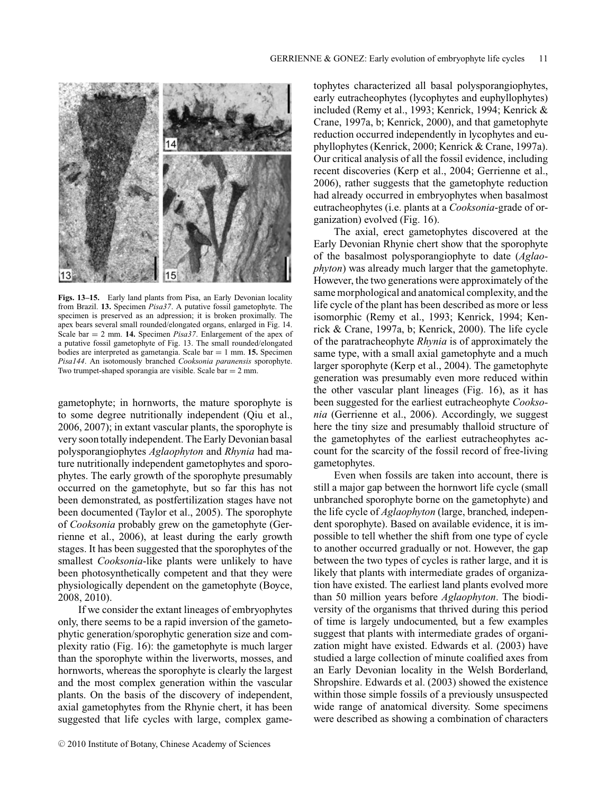

**Figs. 13–15.** Early land plants from Pisa, an Early Devonian locality from Brazil. **13.** Specimen *Pisa37*. A putative fossil gametophyte. The specimen is preserved as an adpression; it is broken proximally. The apex bears several small rounded/elongated organs, enlarged in Fig. 14. Scale bar = 2 mm. **14.** Specimen *Pisa37*. Enlargement of the apex of a putative fossil gametophyte of Fig. 13. The small rounded/elongated bodies are interpreted as gametangia. Scale bar = 1 mm. **15.** Specimen *Pisa144*. An isotomously branched *Cooksonia paranensis* sporophyte. Two trumpet-shaped sporangia are visible. Scale bar  $= 2$  mm.

gametophyte; in hornworts, the mature sporophyte is to some degree nutritionally independent (Qiu et al., 2006, 2007); in extant vascular plants, the sporophyte is very soon totally independent. The Early Devonian basal polysporangiophytes *Aglaophyton* and *Rhynia* had mature nutritionally independent gametophytes and sporophytes. The early growth of the sporophyte presumably occurred on the gametophyte, but so far this has not been demonstrated, as postfertilization stages have not been documented (Taylor et al., 2005). The sporophyte of *Cooksonia* probably grew on the gametophyte (Gerrienne et al., 2006), at least during the early growth stages. It has been suggested that the sporophytes of the smallest *Cooksonia*-like plants were unlikely to have been photosynthetically competent and that they were physiologically dependent on the gametophyte (Boyce, 2008, 2010).

If we consider the extant lineages of embryophytes only, there seems to be a rapid inversion of the gametophytic generation/sporophytic generation size and complexity ratio (Fig. 16): the gametophyte is much larger than the sporophyte within the liverworts, mosses, and hornworts, whereas the sporophyte is clearly the largest and the most complex generation within the vascular plants. On the basis of the discovery of independent, axial gametophytes from the Rhynie chert, it has been suggested that life cycles with large, complex gametophytes characterized all basal polysporangiophytes, early eutracheophytes (lycophytes and euphyllophytes) included (Remy et al., 1993; Kenrick, 1994; Kenrick & Crane, 1997a, b; Kenrick, 2000), and that gametophyte reduction occurred independently in lycophytes and euphyllophytes (Kenrick, 2000; Kenrick & Crane, 1997a). Our critical analysis of all the fossil evidence, including recent discoveries (Kerp et al., 2004; Gerrienne et al., 2006), rather suggests that the gametophyte reduction had already occurred in embryophytes when basalmost eutracheophytes (i.e. plants at a *Cooksonia*-grade of organization) evolved (Fig. 16).

The axial, erect gametophytes discovered at the Early Devonian Rhynie chert show that the sporophyte of the basalmost polysporangiophyte to date (*Aglaophyton*) was already much larger that the gametophyte. However, the two generations were approximately of the same morphological and anatomical complexity, and the life cycle of the plant has been described as more or less isomorphic (Remy et al., 1993; Kenrick, 1994; Kenrick & Crane, 1997a, b; Kenrick, 2000). The life cycle of the paratracheophyte *Rhynia* is of approximately the same type, with a small axial gametophyte and a much larger sporophyte (Kerp et al., 2004). The gametophyte generation was presumably even more reduced within the other vascular plant lineages (Fig. 16), as it has been suggested for the earliest eutracheophyte *Cooksonia* (Gerrienne et al., 2006). Accordingly, we suggest here the tiny size and presumably thalloid structure of the gametophytes of the earliest eutracheophytes account for the scarcity of the fossil record of free-living gametophytes.

Even when fossils are taken into account, there is still a major gap between the hornwort life cycle (small unbranched sporophyte borne on the gametophyte) and the life cycle of *Aglaophyton* (large, branched, independent sporophyte). Based on available evidence, it is impossible to tell whether the shift from one type of cycle to another occurred gradually or not. However, the gap between the two types of cycles is rather large, and it is likely that plants with intermediate grades of organization have existed. The earliest land plants evolved more than 50 million years before *Aglaophyton*. The biodiversity of the organisms that thrived during this period of time is largely undocumented, but a few examples suggest that plants with intermediate grades of organization might have existed. Edwards et al. (2003) have studied a large collection of minute coalified axes from an Early Devonian locality in the Welsh Borderland, Shropshire. Edwards et al. (2003) showed the existence within those simple fossils of a previously unsuspected wide range of anatomical diversity. Some specimens were described as showing a combination of characters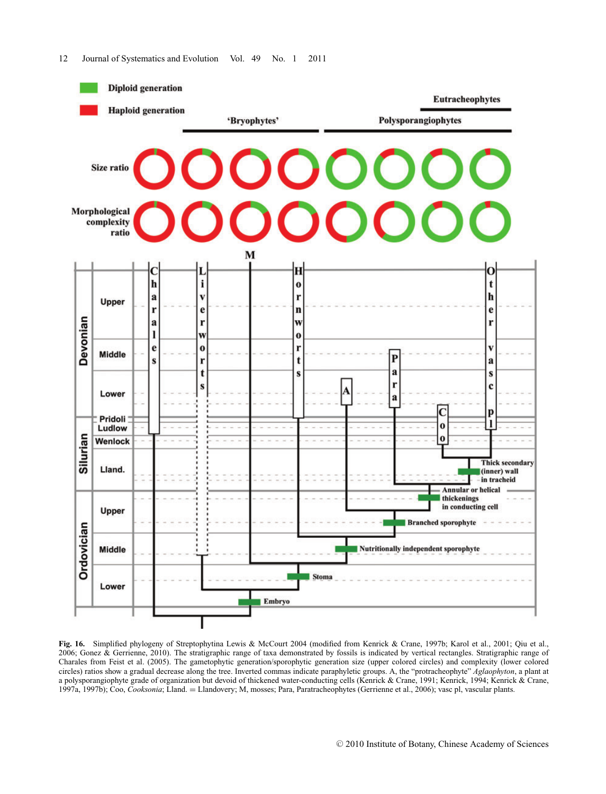

**Fig. 16.** Simplified phylogeny of Streptophytina Lewis & McCourt 2004 (modified from Kenrick & Crane, 1997b; Karol et al., 2001; Qiu et al., 2006; Gonez & Gerrienne, 2010). The stratigraphic range of taxa demonstrated by fossils is indicated by vertical rectangles. Stratigraphic range of Charales from Feist et al. (2005). The gametophytic generation/sporophytic generation size (upper colored circles) and complexity (lower colored circles) ratios show a gradual decrease along the tree. Inverted commas indicate paraphyletic groups. A, the "protracheophyte" *Aglaophyton*, a plant at a polysporangiophyte grade of organization but devoid of thickened water-conducting cells (Kenrick & Crane, 1991; Kenrick, 1994; Kenrick & Crane, 1997a, 1997b); Coo, *Cooksonia*; Lland. = Llandovery; M, mosses; Para, Paratracheophytes (Gerrienne et al., 2006); vasc pl, vascular plants.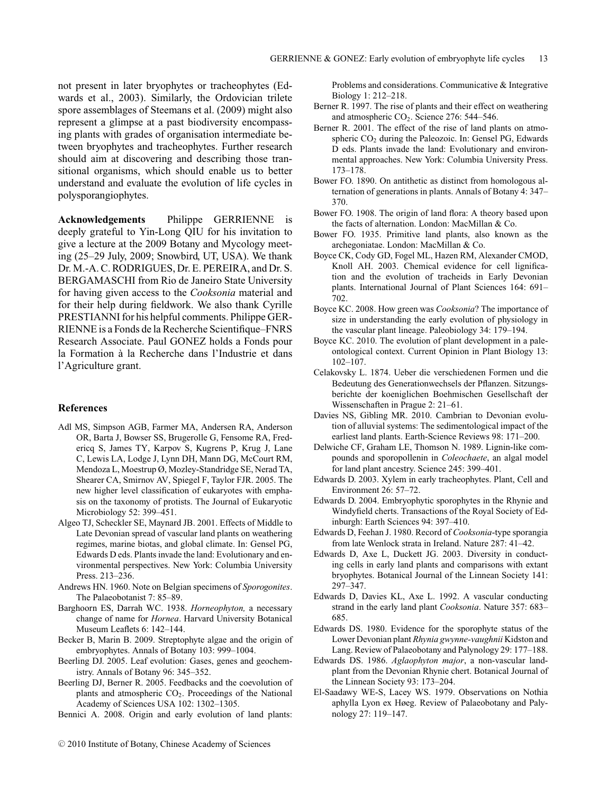not present in later bryophytes or tracheophytes (Edwards et al., 2003). Similarly, the Ordovician trilete spore assemblages of Steemans et al. (2009) might also represent a glimpse at a past biodiversity encompassing plants with grades of organisation intermediate between bryophytes and tracheophytes. Further research should aim at discovering and describing those transitional organisms, which should enable us to better understand and evaluate the evolution of life cycles in polysporangiophytes.

**Acknowledgements** Philippe GERRIENNE is deeply grateful to Yin-Long QIU for his invitation to give a lecture at the 2009 Botany and Mycology meeting (25–29 July, 2009; Snowbird, UT, USA). We thank Dr. M.-A. C. RODRIGUES, Dr. E. PEREIRA, and Dr. S. BERGAMASCHI from Rio de Janeiro State University for having given access to the *Cooksonia* material and for their help during fieldwork. We also thank Cyrille PRESTIANNI for his helpful comments. Philippe GER-RIENNE is a Fonds de la Recherche Scientifique–FNRS Research Associate. Paul GONEZ holds a Fonds pour la Formation à la Recherche dans l'Industrie et dans l'Agriculture grant.

#### **References**

- Adl MS, Simpson AGB, Farmer MA, Andersen RA, Anderson OR, Barta J, Bowser SS, Brugerolle G, Fensome RA, Fredericq S, James TY, Karpov S, Kugrens P, Krug J, Lane C, Lewis LA, Lodge J, Lynn DH, Mann DG, McCourt RM, Mendoza L, Moestrup Ø, Mozley-Standridge SE, Nerad TA, Shearer CA, Smirnov AV, Spiegel F, Taylor FJR. 2005. The new higher level classification of eukaryotes with emphasis on the taxonomy of protists. The Journal of Eukaryotic Microbiology 52: 399–451.
- Algeo TJ, Scheckler SE, Maynard JB. 2001. Effects of Middle to Late Devonian spread of vascular land plants on weathering regimes, marine biotas, and global climate. In: Gensel PG, Edwards D eds. Plants invade the land: Evolutionary and environmental perspectives. New York: Columbia University Press. 213–236.
- Andrews HN. 1960. Note on Belgian specimens of *Sporogonites*. The Palaeobotanist 7: 85–89.
- Barghoorn ES, Darrah WC. 1938. *Horneophyton,* a necessary change of name for *Hornea*. Harvard University Botanical Museum Leaflets 6: 142–144.
- Becker B, Marin B. 2009. Streptophyte algae and the origin of embryophytes. Annals of Botany 103: 999–1004.
- Beerling DJ. 2005. Leaf evolution: Gases, genes and geochemistry. Annals of Botany 96: 345–352.
- Beerling DJ, Berner R. 2005. Feedbacks and the coevolution of plants and atmospheric  $CO<sub>2</sub>$ . Proceedings of the National Academy of Sciences USA 102: 1302–1305.

Bennici A. 2008. Origin and early evolution of land plants:

 $© 2010 Institute of Botany, Chinese Academy of Sciences$ 

Problems and considerations. Communicative & Integrative Biology 1: 212–218.

- Berner R. 1997. The rise of plants and their effect on weathering and atmospheric  $CO<sub>2</sub>$ . Science 276: 544–546.
- Berner R. 2001. The effect of the rise of land plants on atmospheric  $CO<sub>2</sub>$  during the Paleozoic. In: Gensel PG, Edwards D eds. Plants invade the land: Evolutionary and environmental approaches. New York: Columbia University Press. 173–178.
- Bower FO. 1890. On antithetic as distinct from homologous alternation of generations in plants. Annals of Botany 4: 347– 370.
- Bower FO. 1908. The origin of land flora: A theory based upon the facts of alternation. London: MacMillan & Co.
- Bower FO. 1935. Primitive land plants, also known as the archegoniatae. London: MacMillan & Co.
- Boyce CK, Cody GD, Fogel ML, Hazen RM, Alexander CMOD, Knoll AH. 2003. Chemical evidence for cell lignification and the evolution of tracheids in Early Devonian plants. International Journal of Plant Sciences 164: 691– 702.
- Boyce KC. 2008. How green was *Cooksonia*? The importance of size in understanding the early evolution of physiology in the vascular plant lineage. Paleobiology 34: 179–194.
- Boyce KC. 2010. The evolution of plant development in a paleontological context. Current Opinion in Plant Biology 13: 102–107.
- Celakovsky L. 1874. Ueber die verschiedenen Formen und die Bedeutung des Generationwechsels der Pflanzen. Sitzungsberichte der koeniglichen Boehmischen Gesellschaft der Wissenschaften in Prague 2: 21–61.
- Davies NS, Gibling MR. 2010. Cambrian to Devonian evolution of alluvial systems: The sedimentological impact of the earliest land plants. Earth-Science Reviews 98: 171–200.
- Delwiche CF, Graham LE, Thomson N. 1989. Lignin-like compounds and sporopollenin in *Coleochaete*, an algal model for land plant ancestry. Science 245: 399–401.
- Edwards D. 2003. Xylem in early tracheophytes. Plant, Cell and Environment 26: 57–72.
- Edwards D. 2004. Embryophytic sporophytes in the Rhynie and Windyfield cherts. Transactions of the Royal Society of Edinburgh: Earth Sciences 94: 397–410.
- Edwards D, Feehan J. 1980. Record of *Cooksonia*-type sporangia from late Wenlock strata in Ireland. Nature 287: 41–42.
- Edwards D, Axe L, Duckett JG. 2003. Diversity in conducting cells in early land plants and comparisons with extant bryophytes. Botanical Journal of the Linnean Society 141: 297–347.
- Edwards D, Davies KL, Axe L. 1992. A vascular conducting strand in the early land plant *Cooksonia*. Nature 357: 683– 685.
- Edwards DS. 1980. Evidence for the sporophyte status of the Lower Devonian plant *Rhynia gwynne-vaughnii* Kidston and Lang. Review of Palaeobotany and Palynology 29: 177–188.
- Edwards DS. 1986. *Aglaophyton major*, a non-vascular landplant from the Devonian Rhynie chert. Botanical Journal of the Linnean Society 93: 173–204.
- El-Saadawy WE-S, Lacey WS. 1979. Observations on Nothia aphylla Lyon ex Høeg. Review of Palaeobotany and Palynology 27: 119–147.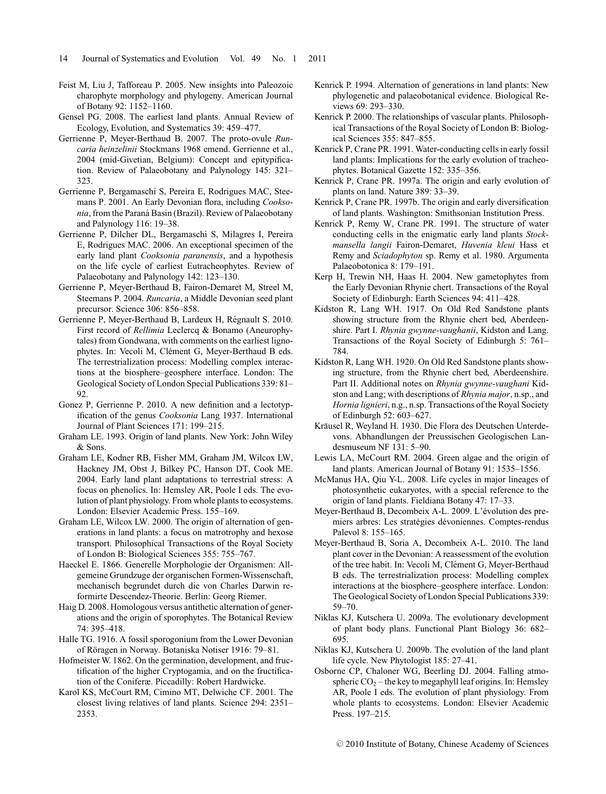- 14 Journal of Systematics and Evolution Vol. 49 No. 1 2011
- Feist M, Liu J, Tafforeau P. 2005. New insights into Paleozoic charophyte morphology and phylogeny. American Journal of Botany 92: 1152–1160.
- Gensel PG. 2008. The earliest land plants. Annual Review of Ecology, Evolution, and Systematics 39: 459–477.
- Gerrienne P, Meyer-Berthaud B. 2007. The proto-ovule *Runcaria heinzelinii* Stockmans 1968 emend. Gerrienne et al., 2004 (mid-Givetian, Belgium): Concept and epitypification. Review of Palaeobotany and Palynology 145: 321– 323.
- Gerrienne P, Bergamaschi S, Pereira E, Rodrigues MAC, Steemans P. 2001. An Early Devonian flora, including *Cooksonia*, from the Paraná Basin (Brazil). Review of Palaeobotany and Palynology 116: 19–38.
- Gerrienne P, Dilcher DL, Bergamaschi S, Milagres I, Pereira E, Rodrigues MAC. 2006. An exceptional specimen of the early land plant *Cooksonia paranensis*, and a hypothesis on the life cycle of earliest Eutracheophytes. Review of Palaeobotany and Palynology 142: 123–130.
- Gerrienne P, Meyer-Berthaud B, Fairon-Demaret M, Streel M, Steemans P. 2004. *Runcaria*, a Middle Devonian seed plant precursor. Science 306: 856–858.
- Gerrienne P, Meyer-Berthaud B, Lardeux H, Régnault S. 2010. First record of *Rellimia* Leclercq & Bonamo (Aneurophytales) from Gondwana, with comments on the earliest lignophytes. In: Vecoli M, Clément G, Meyer-Berthaud B eds. The terrestrialization process: Modelling complex interactions at the biosphere–geosphere interface. London: The Geological Society of London Special Publications 339: 81– 92.
- Gonez P, Gerrienne P. 2010. A new definition and a lectotypification of the genus *Cooksonia* Lang 1937. International Journal of Plant Sciences 171: 199–215.
- Graham LE. 1993. Origin of land plants. New York: John Wiley & Sons.
- Graham LE, Kodner RB, Fisher MM, Graham JM, Wilcox LW, Hackney JM, Obst J, Bilkey PC, Hanson DT, Cook ME. 2004. Early land plant adaptations to terrestrial stress: A focus on phenolics. In: Hemsley AR, Poole I eds. The evolution of plant physiology. From whole plants to ecosystems. London: Elsevier Academic Press. 155–169.
- Graham LE, Wilcox LW. 2000. The origin of alternation of generations in land plants: a focus on matrotrophy and hexose transport. Philosophical Transactions of the Royal Society of London B: Biological Sciences 355: 755–767.
- Haeckel E. 1866. Generelle Morphologie der Organismen: Allgemeine Grundzuge der organischen Formen-Wissenschaft, mechanisch begrundet durch die von Charles Darwin reformirte Descendez-Theorie. Berlin: Georg Riemer.
- Haig D. 2008. Homologous versus antithetic alternation of generations and the origin of sporophytes. The Botanical Review 74: 395–418.
- Halle TG. 1916. A fossil sporogonium from the Lower Devonian of Röragen in Norway. Botaniska Notiser 1916: 79-81.
- Hofmeister W. 1862. On the germination, development, and fructification of the higher Cryptogamia, and on the fructification of the Coniferæ. Piccadilly: Robert Hardwicke.
- Karol KS, McCourt RM, Cimino MT, Delwiche CF. 2001. The closest living relatives of land plants. Science 294: 2351– 2353.
- Kenrick P. 1994. Alternation of generations in land plants: New phylogenetic and palaeobotanical evidence. Biological Reviews 69: 293–330.
- Kenrick P. 2000. The relationships of vascular plants. Philosophical Transactions of the Royal Society of London B: Biological Sciences 355: 847–855.
- Kenrick P, Crane PR. 1991. Water-conducting cells in early fossil land plants: Implications for the early evolution of tracheophytes. Botanical Gazette 152: 335–356.
- Kenrick P, Crane PR. 1997a. The origin and early evolution of plants on land. Nature 389: 33–39.
- Kenrick P, Crane PR. 1997b. The origin and early diversification of land plants. Washington: Smithsonian Institution Press.
- Kenrick P, Remy W, Crane PR. 1991. The structure of water conducting cells in the enigmatic early land plants *Stockmansella langii* Fairon-Demaret, *Huvenia kleui* Hass et Remy and *Sciadophyton* sp. Remy et al. 1980. Argumenta Palaeobotonica 8: 179–191.
- Kerp H, Trewin NH, Haas H. 2004. New gametophytes from the Early Devonian Rhynie chert. Transactions of the Royal Society of Edinburgh: Earth Sciences 94: 411–428.
- Kidston R, Lang WH. 1917. On Old Red Sandstone plants showing structure from the Rhynie chert bed, Aberdeenshire. Part I. *Rhynia gwynne-vaughanii*, Kidston and Lang. Transactions of the Royal Society of Edinburgh 5: 761– 784.
- Kidston R, Lang WH. 1920. On Old Red Sandstone plants showing structure, from the Rhynie chert bed, Aberdeenshire. Part II. Additional notes on *Rhynia gwynne-vaughani* Kidston and Lang; with descriptions of *Rhynia major*, n.sp., and *Hornia lignieri*, n.g., n.sp. Transactions of the Royal Society of Edinburgh 52: 603–627.
- Kräusel R, Weyland H. 1930. Die Flora des Deutschen Unterdevons. Abhandlungen der Preussischen Geologischen Landesmuseum NF 131: 5–90.
- Lewis LA, McCourt RM. 2004. Green algae and the origin of land plants. American Journal of Botany 91: 1535–1556.
- McManus HA, Qiu Y-L. 2008. Life cycles in major lineages of photosynthetic eukaryotes, with a special reference to the origin of land plants. Fieldiana Botany 47: 17–33.
- Meyer-Berthaud B, Decombeix A-L. 2009. L'évolution des premiers arbres: Les stratégies dévoniennes. Comptes-rendus Palevol 8: 155–165.
- Meyer-Berthaud B, Soria A, Decombeix A-L. 2010. The land plant cover in the Devonian: A reassessment of the evolution of the tree habit. In: Vecoli M, Clément G, Meyer-Berthaud B eds. The terrestrialization process: Modelling complex interactions at the biosphere–geosphere interface. London: The Geological Society of London Special Publications 339: 59–70.
- Niklas KJ, Kutschera U. 2009a. The evolutionary development of plant body plans. Functional Plant Biology 36: 682– 695.
- Niklas KJ, Kutschera U. 2009b. The evolution of the land plant life cycle. New Phytologist 185: 27–41.
- Osborne CP, Chaloner WG, Beerling DJ. 2004. Falling atmospheric  $CO_2$  – the key to megaphyll leaf origins. In: Hemsley AR, Poole I eds. The evolution of plant physiology. From whole plants to ecosystems. London: Elsevier Academic Press. 197–215.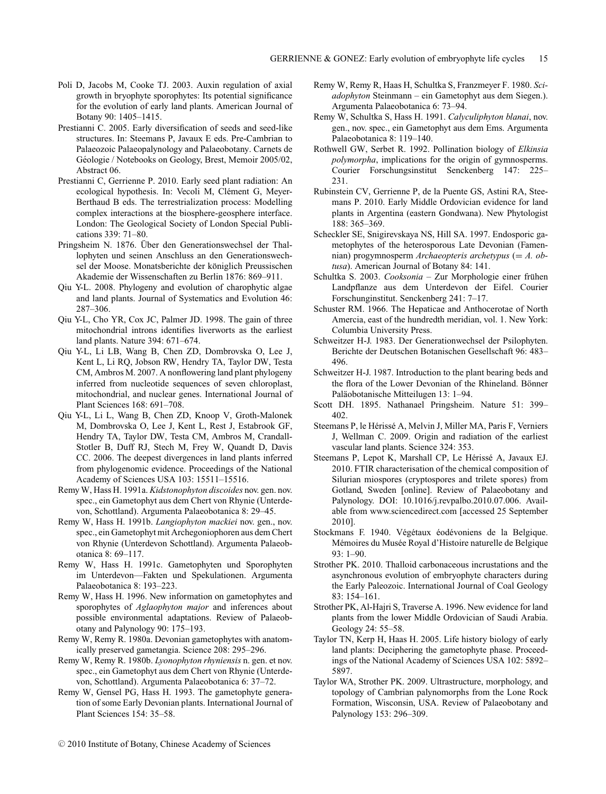- Poli D, Jacobs M, Cooke TJ. 2003. Auxin regulation of axial growth in bryophyte sporophytes: Its potential significance for the evolution of early land plants. American Journal of Botany 90: 1405–1415.
- Prestianni C. 2005. Early diversification of seeds and seed-like structures. In: Steemans P, Javaux E eds. Pre-Cambrian to Palaeozoic Palaeopalynology and Palaeobotany. Carnets de Géologie / Notebooks on Geology, Brest, Memoir 2005/02, Abstract 06.
- Prestianni C, Gerrienne P. 2010. Early seed plant radiation: An ecological hypothesis. In: Vecoli M, Clément G, Meyer-Berthaud B eds. The terrestrialization process: Modelling complex interactions at the biosphere-geosphere interface. London: The Geological Society of London Special Publications 339: 71–80.
- Pringsheim N. 1876. Über den Generationswechsel der Thallophyten und seinen Anschluss an den Generationswechsel der Moose. Monatsberichte der königlich Preussischen Akademie der Wissenschaften zu Berlin 1876: 869–911.
- Qiu Y-L. 2008. Phylogeny and evolution of charophytic algae and land plants. Journal of Systematics and Evolution 46: 287–306.
- Qiu Y-L, Cho YR, Cox JC, Palmer JD. 1998. The gain of three mitochondrial introns identifies liverworts as the earliest land plants. Nature 394: 671–674.
- Qiu Y-L, Li LB, Wang B, Chen ZD, Dombrovska O, Lee J, Kent L, Li RQ, Jobson RW, Hendry TA, Taylor DW, Testa CM, Ambros M. 2007. A nonflowering land plant phylogeny inferred from nucleotide sequences of seven chloroplast, mitochondrial, and nuclear genes. International Journal of Plant Sciences 168: 691–708.
- Qiu Y-L, Li L, Wang B, Chen ZD, Knoop V, Groth-Malonek M, Dombrovska O, Lee J, Kent L, Rest J, Estabrook GF, Hendry TA, Taylor DW, Testa CM, Ambros M, Crandall-Stotler B, Duff RJ, Stech M, Frey W, Quandt D, Davis CC. 2006. The deepest divergences in land plants inferred from phylogenomic evidence. Proceedings of the National Academy of Sciences USA 103: 15511–15516.
- Remy W, Hass H. 1991a. *Kidstonophyton discoides* nov. gen. nov. spec., ein Gametophyt aus dem Chert von Rhynie (Unterdevon, Schottland). Argumenta Palaeobotanica 8: 29–45.
- Remy W, Hass H. 1991b. *Langiophyton mackiei* nov. gen., nov. spec., ein Gametophyt mit Archegoniophoren aus dem Chert von Rhynie (Unterdevon Schottland). Argumenta Palaeobotanica 8: 69–117.
- Remy W, Hass H. 1991c. Gametophyten und Sporophyten im Unterdevon—Fakten und Spekulationen. Argumenta Palaeobotanica 8: 193–223.
- Remy W, Hass H. 1996. New information on gametophytes and sporophytes of *Aglaophyton major* and inferences about possible environmental adaptations. Review of Palaeobotany and Palynology 90: 175–193.
- Remy W, Remy R. 1980a. Devonian gametophytes with anatomically preserved gametangia. Science 208: 295–296.
- Remy W, Remy R. 1980b. *Lyonophyton rhyniensis* n. gen. et nov. spec., ein Gametophyt aus dem Chert von Rhynie (Unterdevon, Schottland). Argumenta Palaeobotanica 6: 37–72.
- Remy W, Gensel PG, Hass H. 1993. The gametophyte generation of some Early Devonian plants. International Journal of Plant Sciences 154: 35–58.
- Remy W, Remy R, Haas H, Schultka S, Franzmeyer F. 1980. *Sciadophyton* Steinmann – ein Gametophyt aus dem Siegen.). Argumenta Palaeobotanica 6: 73–94.
- Remy W, Schultka S, Hass H. 1991. *Calyculiphyton blanai*, nov. gen., nov. spec., ein Gametophyt aus dem Ems. Argumenta Palaeobotanica 8: 119–140.
- Rothwell GW, Serbet R. 1992. Pollination biology of *Elkinsia polymorpha*, implications for the origin of gymnosperms. Courier Forschungsinstitut Senckenberg 147: 225– 231.
- Rubinstein CV, Gerrienne P, de la Puente GS, Astini RA, Steemans P. 2010. Early Middle Ordovician evidence for land plants in Argentina (eastern Gondwana). New Phytologist 188: 365–369.
- Scheckler SE, Snigirevskaya NS, Hill SA. 1997. Endosporic gametophytes of the heterosporous Late Devonian (Famennian) progymnosperm *Archaeopteris archetypus* (= *A. obtusa*). American Journal of Botany 84: 141.
- Schultka S. 2003. *Cooksonia* Zur Morphologie einer frühen Landpflanze aus dem Unterdevon der Eifel. Courier Forschunginstitut. Senckenberg 241: 7–17.
- Schuster RM. 1966. The Hepaticae and Anthocerotae of North Amercia, east of the hundredth meridian, vol. 1. New York: Columbia University Press.
- Schweitzer H-J. 1983. Der Generationwechsel der Psilophyten. Berichte der Deutschen Botanischen Gesellschaft 96: 483– 496.
- Schweitzer H-J. 1987. Introduction to the plant bearing beds and the flora of the Lower Devonian of the Rhineland. Bönner Paläobotanische Mitteilugen 13: 1–94.
- Scott DH. 1895. Nathanael Pringsheim. Nature 51: 399– 402.
- Steemans P, le Hérissé A, Melvin J, Miller MA, Paris F, Verniers J, Wellman C. 2009. Origin and radiation of the earliest vascular land plants. Science 324: 353.
- Steemans P, Lepot K, Marshall CP, Le Hérissé A, Javaux EJ. 2010. FTIR characterisation of the chemical composition of Silurian miospores (cryptospores and trilete spores) from Gotland, Sweden [online]. Review of Palaeobotany and Palynology. DOI: 10.1016/j.revpalbo.2010.07.006. Available from www.sciencedirect.com [accessed 25 September 2010].
- Stockmans F. 1940. Végétaux éodévoniens de la Belgique. Mémoires du Musée Royal d'Histoire naturelle de Belgique  $93 \cdot 1 - 90$
- Strother PK. 2010. Thalloid carbonaceous incrustations and the asynchronous evolution of embryophyte characters during the Early Paleozoic. International Journal of Coal Geology 83: 154–161.
- Strother PK, Al-Hajri S, Traverse A. 1996. New evidence for land plants from the lower Middle Ordovician of Saudi Arabia. Geology 24: 55–58.
- Taylor TN, Kerp H, Haas H. 2005. Life history biology of early land plants: Deciphering the gametophyte phase. Proceedings of the National Academy of Sciences USA 102: 5892– 5897.
- Taylor WA, Strother PK. 2009. Ultrastructure, morphology, and topology of Cambrian palynomorphs from the Lone Rock Formation, Wisconsin, USA. Review of Palaeobotany and Palynology 153: 296–309.